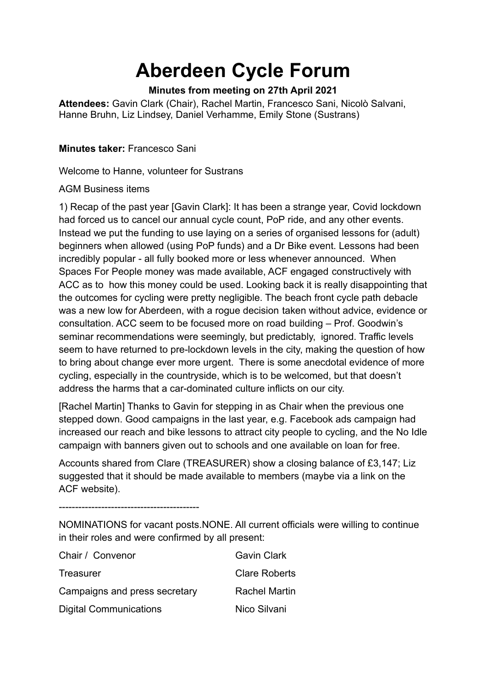# **Aberdeen Cycle Forum**

# **Minutes from meeting on 27th April 2021**

**Attendees:** Gavin Clark (Chair), Rachel Martin, Francesco Sani, Nicolò Salvani, Hanne Bruhn, Liz Lindsey, Daniel Verhamme, Emily Stone (Sustrans)

### **Minutes taker:** Francesco Sani

Welcome to Hanne, volunteer for Sustrans

## AGM Business items

1) Recap of the past year [Gavin Clark]: It has been a strange year, Covid lockdown had forced us to cancel our annual cycle count, PoP ride, and any other events. Instead we put the funding to use laying on a series of organised lessons for (adult) beginners when allowed (using PoP funds) and a Dr Bike event. Lessons had been incredibly popular - all fully booked more or less whenever announced. When Spaces For People money was made available, ACF engaged constructively with ACC as to how this money could be used. Looking back it is really disappointing that the outcomes for cycling were pretty negligible. The beach front cycle path debacle was a new low for Aberdeen, with a rogue decision taken without advice, evidence or consultation. ACC seem to be focused more on road building – Prof. Goodwin's seminar recommendations were seemingly, but predictably, ignored. Traffic levels seem to have returned to pre-lockdown levels in the city, making the question of how to bring about change ever more urgent. There is some anecdotal evidence of more cycling, especially in the countryside, which is to be welcomed, but that doesn't address the harms that a car-dominated culture inflicts on our city.

[Rachel Martin] Thanks to Gavin for stepping in as Chair when the previous one stepped down. Good campaigns in the last year, e.g. Facebook ads campaign had increased our reach and bike lessons to attract city people to cycling, and the No Idle campaign with banners given out to schools and one available on loan for free.

Accounts shared from Clare (TREASURER) show a closing balance of £3,147; Liz suggested that it should be made available to members (maybe via a link on the ACF website).

-------------------------------------------

NOMINATIONS for vacant posts.NONE. All current officials were willing to continue in their roles and were confirmed by all present:

| Chair / Convenor              | <b>Gavin Clark</b>   |
|-------------------------------|----------------------|
| Treasurer                     | <b>Clare Roberts</b> |
| Campaigns and press secretary | Rachel Martin        |
| <b>Digital Communications</b> | Nico Silvani         |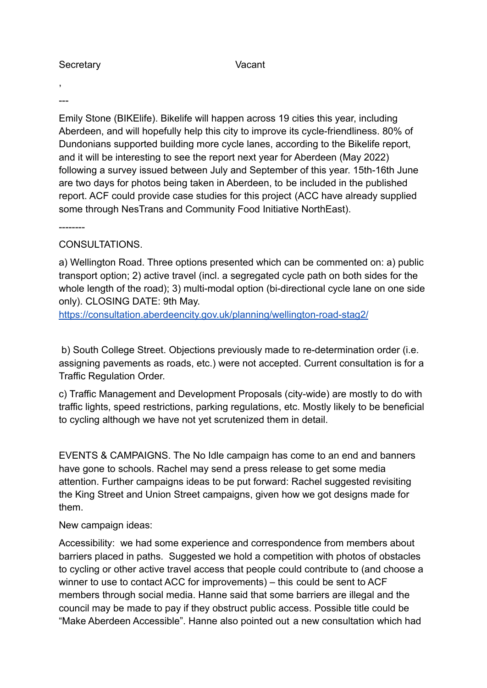#### Secretary **Vacant**

, ---

Emily Stone (BIKElife). Bikelife will happen across 19 cities this year, including Aberdeen, and will hopefully help this city to improve its cycle-friendliness. 80% of Dundonians supported building more cycle lanes, according to the Bikelife report, and it will be interesting to see the report next year for Aberdeen (May 2022) following a survey issued between July and September of this year. 15th-16th June are two days for photos being taken in Aberdeen, to be included in the published report. ACF could provide case studies for this project (ACC have already supplied some through NesTrans and Community Food Initiative NorthEast).

--------

#### CONSULTATIONS.

a) Wellington Road. Three options presented which can be commented on: a) public transport option; 2) active travel (incl. a segregated cycle path on both sides for the whole length of the road); 3) multi-modal option (bi-directional cycle lane on one side only). CLOSING DATE: 9th May.

<https://consultation.aberdeencity.gov.uk/planning/wellington-road-stag2/>

b) South College Street. Objections previously made to re-determination order (i.e. assigning pavements as roads, etc.) were not accepted. Current consultation is for a Traffic Regulation Order.

c) Traffic Management and Development Proposals (city-wide) are mostly to do with traffic lights, speed restrictions, parking regulations, etc. Mostly likely to be beneficial to cycling although we have not yet scrutenized them in detail.

EVENTS & CAMPAIGNS. The No Idle campaign has come to an end and banners have gone to schools. Rachel may send a press release to get some media attention. Further campaigns ideas to be put forward: Rachel suggested revisiting the King Street and Union Street campaigns, given how we got designs made for them.

New campaign ideas:

Accessibility: we had some experience and correspondence from members about barriers placed in paths. Suggested we hold a competition with photos of obstacles to cycling or other active travel access that people could contribute to (and choose a winner to use to contact ACC for improvements) – this could be sent to ACF members through social media. Hanne said that some barriers are illegal and the council may be made to pay if they obstruct public access. Possible title could be "Make Aberdeen Accessible". Hanne also pointed out a new consultation which had